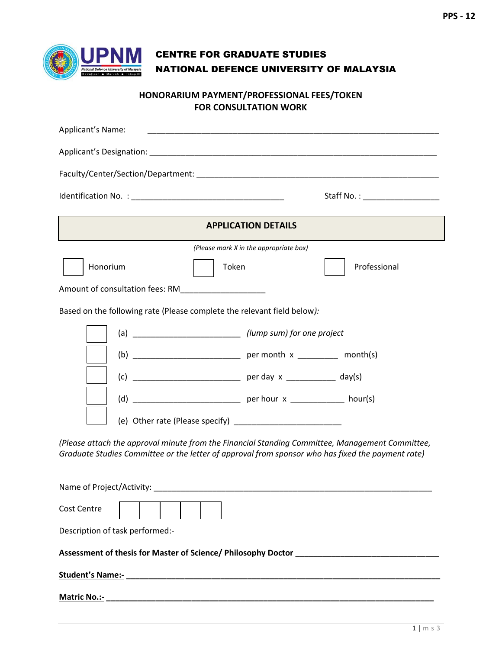

| <b>CENTRE FOR GRADUATE STUDIES</b>             |  |  |
|------------------------------------------------|--|--|
| <b>NATIONAL DEFENCE UNIVERSITY OF MALAYSIA</b> |  |  |

## **HONORARIUM PAYMENT/PROFESSIONAL FEES/TOKEN FOR CONSULTATION WORK**

| Applicant's Name:                                                                                                                                                                                    |                                        |  |  |  |  |  |  |
|------------------------------------------------------------------------------------------------------------------------------------------------------------------------------------------------------|----------------------------------------|--|--|--|--|--|--|
|                                                                                                                                                                                                      |                                        |  |  |  |  |  |  |
|                                                                                                                                                                                                      |                                        |  |  |  |  |  |  |
|                                                                                                                                                                                                      | Staff No. : ______________________     |  |  |  |  |  |  |
| <b>APPLICATION DETAILS</b>                                                                                                                                                                           |                                        |  |  |  |  |  |  |
|                                                                                                                                                                                                      | (Please mark X in the appropriate box) |  |  |  |  |  |  |
| Honorium<br>Token                                                                                                                                                                                    | Professional                           |  |  |  |  |  |  |
| Amount of consultation fees: RM_______________________                                                                                                                                               |                                        |  |  |  |  |  |  |
| Based on the following rate (Please complete the relevant field below):                                                                                                                              |                                        |  |  |  |  |  |  |
| (a) _______________________________ (lump sum) for one project                                                                                                                                       |                                        |  |  |  |  |  |  |
|                                                                                                                                                                                                      |                                        |  |  |  |  |  |  |
|                                                                                                                                                                                                      |                                        |  |  |  |  |  |  |
|                                                                                                                                                                                                      |                                        |  |  |  |  |  |  |
|                                                                                                                                                                                                      |                                        |  |  |  |  |  |  |
| (Please attach the approval minute from the Financial Standing Committee, Management Committee,<br>Graduate Studies Committee or the letter of approval from sponsor who has fixed the payment rate) |                                        |  |  |  |  |  |  |
| Name of Project/Activity:                                                                                                                                                                            |                                        |  |  |  |  |  |  |
| <b>Cost Centre</b>                                                                                                                                                                                   |                                        |  |  |  |  |  |  |
| Description of task performed:-                                                                                                                                                                      |                                        |  |  |  |  |  |  |
| <b>Assessment of thesis for Master of Science/ Philosophy Doctor</b>                                                                                                                                 |                                        |  |  |  |  |  |  |
|                                                                                                                                                                                                      |                                        |  |  |  |  |  |  |
| Matric No.:-                                                                                                                                                                                         |                                        |  |  |  |  |  |  |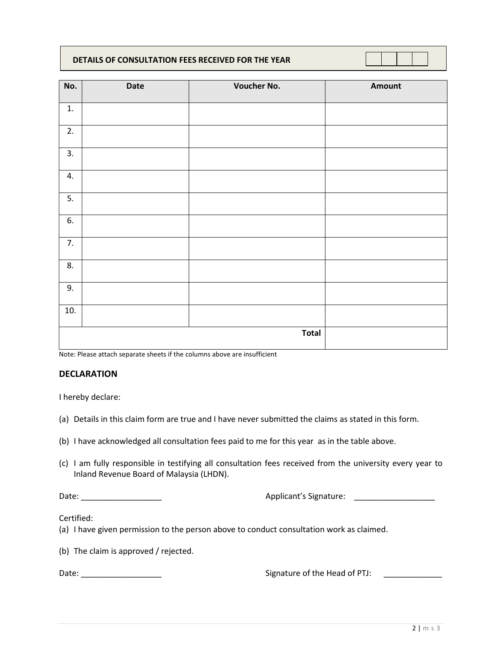| DETAILS OF CONSULTATION FEES RECEIVED FOR THE YEAR |
|----------------------------------------------------|
|----------------------------------------------------|

| No. | Date | Voucher No.  | Amount |
|-----|------|--------------|--------|
| 1.  |      |              |        |
| 2.  |      |              |        |
| 3.  |      |              |        |
| 4.  |      |              |        |
| 5.  |      |              |        |
| 6.  |      |              |        |
| 7.  |      |              |        |
| 8.  |      |              |        |
| 9.  |      |              |        |
| 10. |      |              |        |
|     |      | <b>Total</b> |        |

Note: Please attach separate sheets if the columns above are insufficient

## **DECLARATION**

I hereby declare:

- (a) Details in this claim form are true and I have never submitted the claims as stated in this form.
- (b) I have acknowledged all consultation fees paid to me for this year as in the table above.
- (c) I am fully responsible in testifying all consultation fees received from the university every year to Inland Revenue Board of Malaysia (LHDN).

Date: example and the contract of the Applicant's Signature:  $\Delta$ 

Certified:

(a) I have given permission to the person above to conduct consultation work as claimed.

(b) The claim is approved / rejected.

Date: \_\_\_\_\_\_\_\_\_\_\_\_\_\_\_\_\_\_ Signature of the Head of PTJ: \_\_\_\_\_\_\_\_\_\_\_\_\_